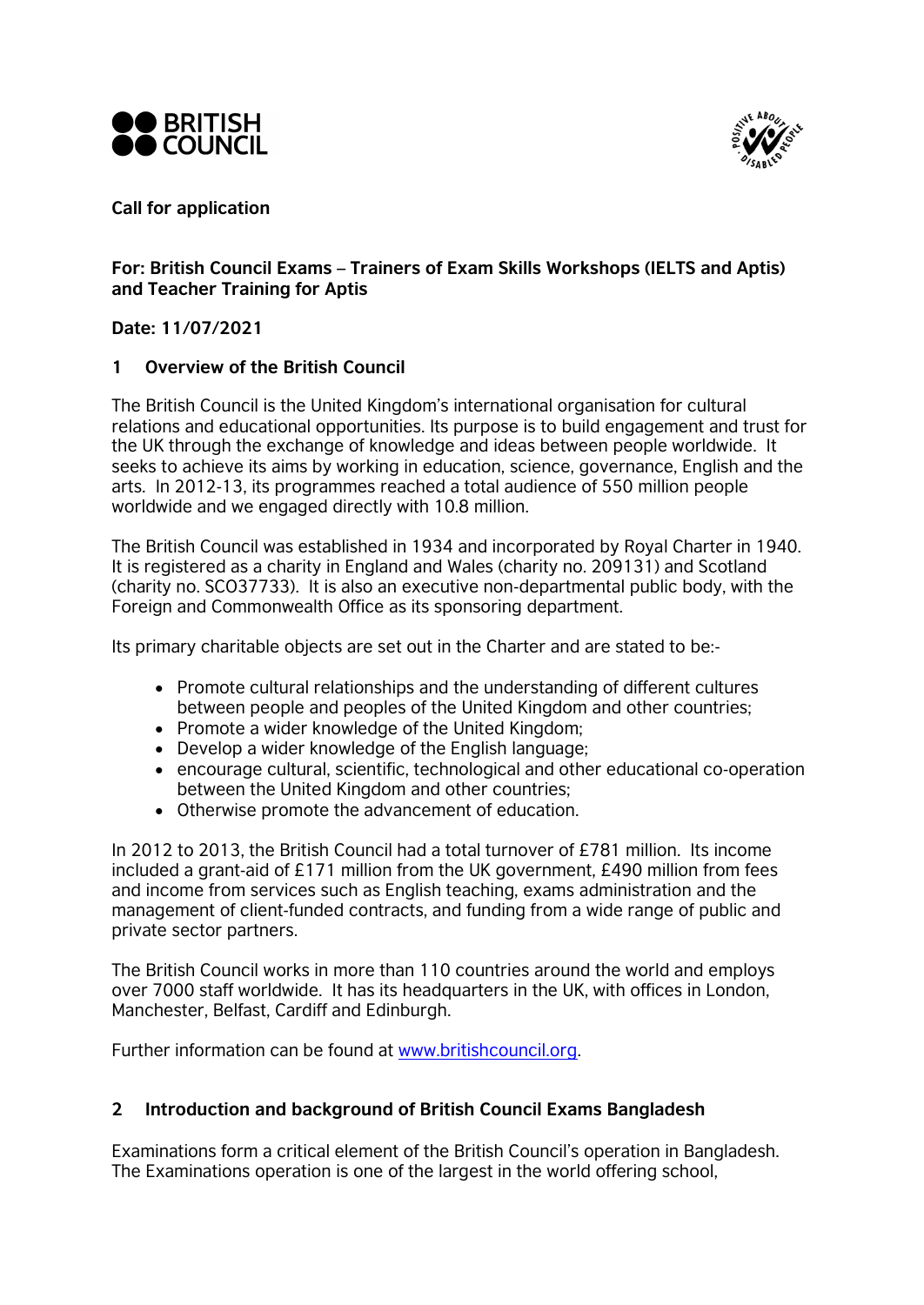



### **Call for application**

### **For: British Council Exams – Trainers of Exam Skills Workshops (IELTS and Aptis) and Teacher Training for Aptis**

# **Date: 11/07/2021**

# **1 Overview of the British Council**

The British Council is the United Kingdom's international organisation for cultural relations and educational opportunities. Its purpose is to build engagement and trust for the UK through the exchange of knowledge and ideas between people worldwide. It seeks to achieve its aims by working in education, science, governance, English and the arts. In 2012-13, its programmes reached a total audience of 550 million people worldwide and we engaged directly with 10.8 million.

The British Council was established in 1934 and incorporated by Royal Charter in 1940. It is registered as a charity in England and Wales (charity no. 209131) and Scotland (charity no. SCO37733). It is also an executive non-departmental public body, with the Foreign and Commonwealth Office as its sponsoring department.

Its primary charitable objects are set out in the Charter and are stated to be:-

- Promote cultural relationships and the understanding of different cultures between people and peoples of the United Kingdom and other countries;
- Promote a wider knowledge of the United Kingdom;
- Develop a wider knowledge of the English language;
- encourage cultural, scientific, technological and other educational co-operation between the United Kingdom and other countries;
- Otherwise promote the advancement of education.

In 2012 to 2013, the British Council had a total turnover of £781 million. Its income included a grant-aid of £171 million from the UK government, £490 million from fees and income from services such as English teaching, exams administration and the management of client-funded contracts, and funding from a wide range of public and private sector partners.

The British Council works in more than 110 countries around the world and employs over 7000 staff worldwide. It has its headquarters in the UK, with offices in London, Manchester, Belfast, Cardiff and Edinburgh.

Further information can be found at [www.britishcouncil.org.](http://www.britishcouncil.org/)

# **2 Introduction and background of British Council Exams Bangladesh**

Examinations form a critical element of the British Council's operation in Bangladesh. The Examinations operation is one of the largest in the world offering school,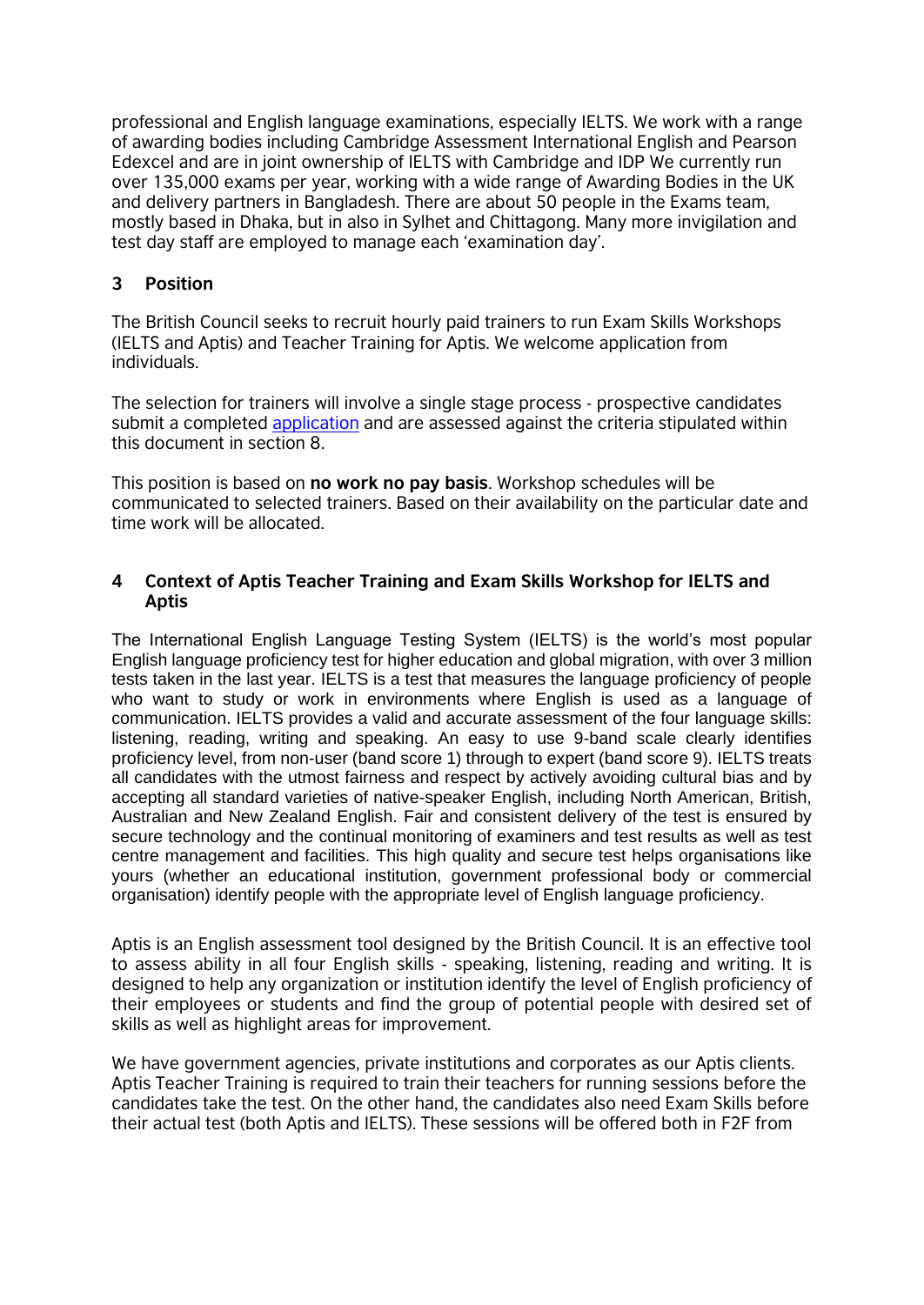professional and English language examinations, especially IELTS. We work with a range of awarding bodies including Cambridge Assessment International English and Pearson Edexcel and are in joint ownership of IELTS with Cambridge and IDP We currently run over 135,000 exams per year, working with a wide range of Awarding Bodies in the UK and delivery partners in Bangladesh. There are about 50 people in the Exams team, mostly based in Dhaka, but in also in Sylhet and Chittagong. Many more invigilation and test day staff are employed to manage each 'examination day'.

# **3 Position**

The British Council seeks to recruit hourly paid trainers to run Exam Skills Workshops (IELTS and Aptis) and Teacher Training for Aptis. We welcome application from individuals.

The selection for trainers will involve a single stage process - prospective candidates submit a completed [application](https://forms.office.com/Pages/ResponsePage.aspx?id=wXVirt3MRkCyoWJFosyj7BJX5fAJInFApz-YxAaUHzRUN0JXRVhRSFNNTDBSODUyMTZWWDlaR0ZDNy4u) and are assessed against the criteria stipulated within this document in section 8.

This position is based on **no work no pay basis**. Workshop schedules will be communicated to selected trainers. Based on their availability on the particular date and time work will be allocated.

### **4 Context of Aptis Teacher Training and Exam Skills Workshop for IELTS and Aptis**

The International English Language Testing System (IELTS) is the world's most popular English language proficiency test for higher education and global migration, with over 3 million tests taken in the last year. IELTS is a test that measures the language proficiency of people who want to study or work in environments where English is used as a language of communication. IELTS provides a valid and accurate assessment of the four language skills: listening, reading, writing and speaking. An easy to use 9-band scale clearly identifies proficiency level, from non-user (band score 1) through to expert (band score 9). IELTS treats all candidates with the utmost fairness and respect by actively avoiding cultural bias and by accepting all standard varieties of native-speaker English, including North American, British, Australian and New Zealand English. Fair and consistent delivery of the test is ensured by secure technology and the continual monitoring of examiners and test results as well as test centre management and facilities. This high quality and secure test helps organisations like yours (whether an educational institution, government professional body or commercial organisation) identify people with the appropriate level of English language proficiency.

Aptis is an English assessment tool designed by the British Council. It is an effective tool to assess ability in all four English skills - speaking, listening, reading and writing. It is designed to help any organization or institution identify the level of English proficiency of their employees or students and find the group of potential people with desired set of skills as well as highlight areas for improvement.

We have government agencies, private institutions and corporates as our Aptis clients. Aptis Teacher Training is required to train their teachers for running sessions before the candidates take the test. On the other hand, the candidates also need Exam Skills before their actual test (both Aptis and IELTS). These sessions will be offered both in F2F from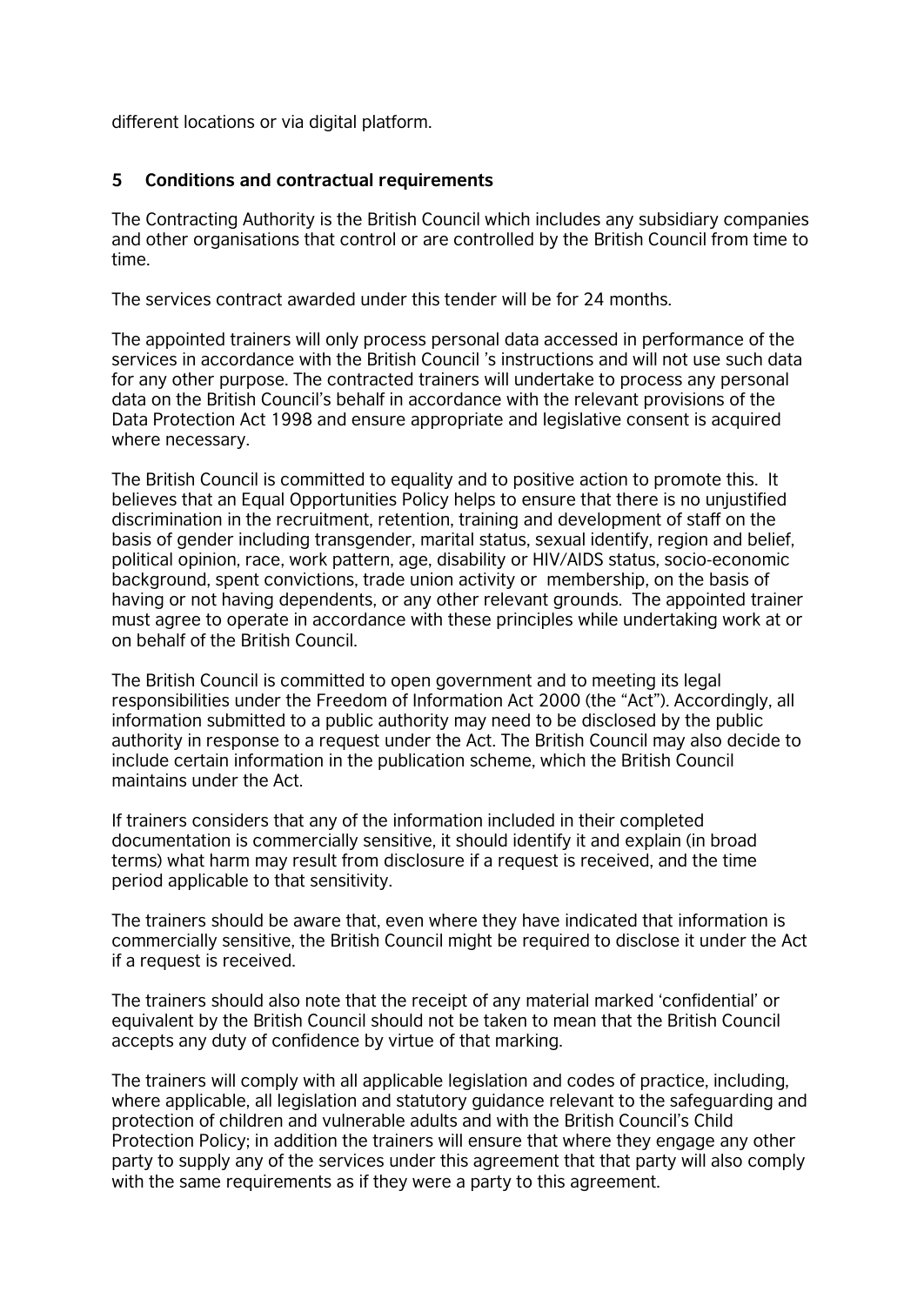different locations or via digital platform.

### **5 Conditions and contractual requirements**

The Contracting Authority is the British Council which includes any subsidiary companies and other organisations that control or are controlled by the British Council from time to time.

The services contract awarded under this tender will be for 24 months.

The appointed trainers will only process personal data accessed in performance of the services in accordance with the British Council 's instructions and will not use such data for any other purpose. The contracted trainers will undertake to process any personal data on the British Council's behalf in accordance with the relevant provisions of the Data Protection Act 1998 and ensure appropriate and legislative consent is acquired where necessary.

The British Council is committed to equality and to positive action to promote this. It believes that an Equal Opportunities Policy helps to ensure that there is no unjustified discrimination in the recruitment, retention, training and development of staff on the basis of gender including transgender, marital status, sexual identify, region and belief, political opinion, race, work pattern, age, disability or HIV/AIDS status, socio-economic background, spent convictions, trade union activity or membership, on the basis of having or not having dependents, or any other relevant grounds. The appointed trainer must agree to operate in accordance with these principles while undertaking work at or on behalf of the British Council.

The British Council is committed to open government and to meeting its legal responsibilities under the Freedom of Information Act 2000 (the "Act"). Accordingly, all information submitted to a public authority may need to be disclosed by the public authority in response to a request under the Act. The British Council may also decide to include certain information in the publication scheme, which the British Council maintains under the Act.

If trainers considers that any of the information included in their completed documentation is commercially sensitive, it should identify it and explain (in broad terms) what harm may result from disclosure if a request is received, and the time period applicable to that sensitivity.

The trainers should be aware that, even where they have indicated that information is commercially sensitive, the British Council might be required to disclose it under the Act if a request is received.

The trainers should also note that the receipt of any material marked 'confidential' or equivalent by the British Council should not be taken to mean that the British Council accepts any duty of confidence by virtue of that marking.

The trainers will comply with all applicable legislation and codes of practice, including, where applicable, all legislation and statutory guidance relevant to the safeguarding and protection of children and vulnerable adults and with the British Council's Child Protection Policy; in addition the trainers will ensure that where they engage any other party to supply any of the services under this agreement that that party will also comply with the same requirements as if they were a party to this agreement.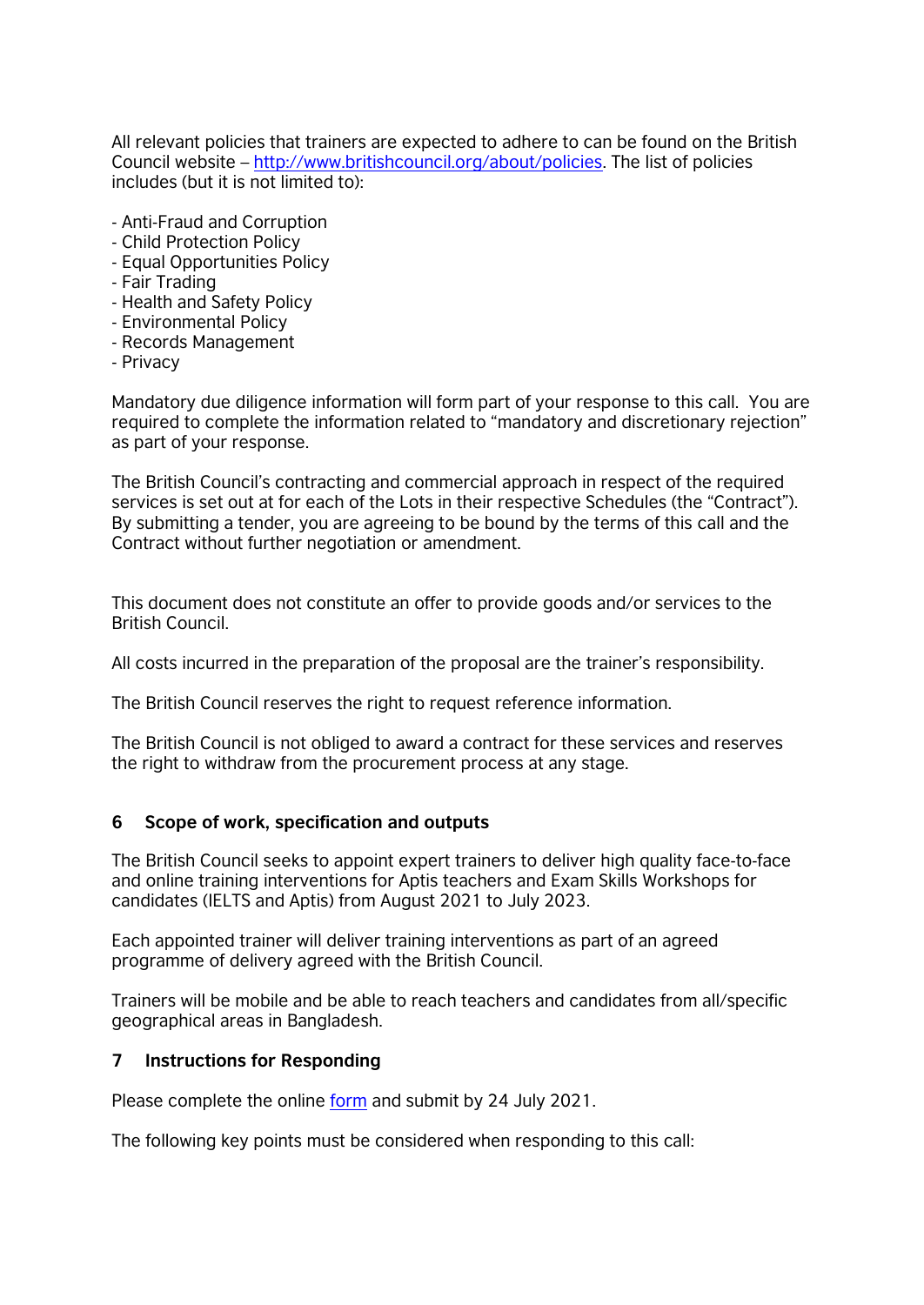All relevant policies that trainers are expected to adhere to can be found on the British Council website – [http://www.britishcouncil.org/about/policies.](http://www.britishcouncil.org/about/policies) The list of policies includes (but it is not limited to):

- Anti-Fraud and Corruption
- Child Protection Policy
- Equal Opportunities Policy
- Fair Trading
- Health and Safety Policy
- Environmental Policy
- Records Management
- Privacy

Mandatory due diligence information will form part of your response to this call. You are required to complete the information related to "mandatory and discretionary rejection" as part of your response.

The British Council's contracting and commercial approach in respect of the required services is set out at for each of the Lots in their respective Schedules (the "Contract"). By submitting a tender, you are agreeing to be bound by the terms of this call and the Contract without further negotiation or amendment.

This document does not constitute an offer to provide goods and/or services to the British Council.

All costs incurred in the preparation of the proposal are the trainer's responsibility.

The British Council reserves the right to request reference information.

The British Council is not obliged to award a contract for these services and reserves the right to withdraw from the procurement process at any stage.

#### **6 Scope of work, specification and outputs**

The British Council seeks to appoint expert trainers to deliver high quality face-to-face and online training interventions for Aptis teachers and Exam Skills Workshops for candidates (IELTS and Aptis) from August 2021 to July 2023.

Each appointed trainer will deliver training interventions as part of an agreed programme of delivery agreed with the British Council.

Trainers will be mobile and be able to reach teachers and candidates from all/specific geographical areas in Bangladesh.

#### **7 Instructions for Responding**

Please complete the online [form](https://forms.office.com/Pages/ResponsePage.aspx?id=wXVirt3MRkCyoWJFosyj7BJX5fAJInFApz-YxAaUHzRUN0JXRVhRSFNNTDBSODUyMTZWWDlaR0ZDNy4u) and submit by 24 July 2021.

The following key points must be considered when responding to this call: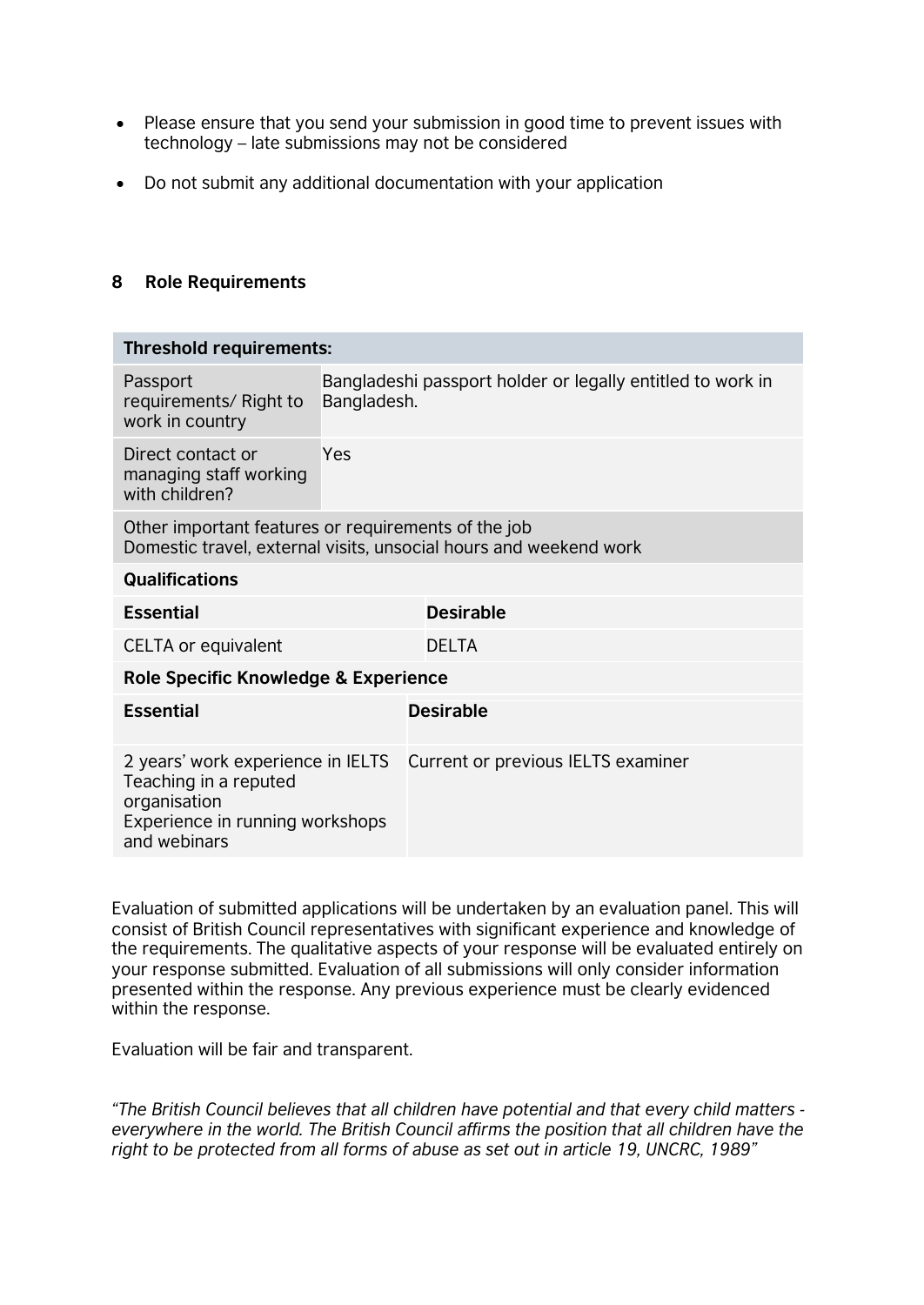- Please ensure that you send your submission in good time to prevent issues with technology – late submissions may not be considered
- Do not submit any additional documentation with your application

# **8 Role Requirements**

| <b>Threshold requirements:</b>                                                                                                |                                                                           |                                    |
|-------------------------------------------------------------------------------------------------------------------------------|---------------------------------------------------------------------------|------------------------------------|
| Passport<br>requirements/ Right to<br>work in country                                                                         | Bangladeshi passport holder or legally entitled to work in<br>Bangladesh. |                                    |
| Direct contact or<br>managing staff working<br>with children?                                                                 | Yes                                                                       |                                    |
| Other important features or requirements of the job<br>Domestic travel, external visits, unsocial hours and weekend work      |                                                                           |                                    |
| <b>Qualifications</b>                                                                                                         |                                                                           |                                    |
| <b>Essential</b>                                                                                                              |                                                                           | <b>Desirable</b>                   |
| <b>CELTA or equivalent</b>                                                                                                    |                                                                           | DFI TA                             |
| Role Specific Knowledge & Experience                                                                                          |                                                                           |                                    |
| <b>Essential</b>                                                                                                              |                                                                           | <b>Desirable</b>                   |
| 2 years' work experience in IELTS<br>Teaching in a reputed<br>organisation<br>Experience in running workshops<br>and webinars |                                                                           | Current or previous IELTS examiner |

Evaluation of submitted applications will be undertaken by an evaluation panel. This will consist of British Council representatives with significant experience and knowledge of the requirements. The qualitative aspects of your response will be evaluated entirely on your response submitted. Evaluation of all submissions will only consider information presented within the response. Any previous experience must be clearly evidenced within the response.

Evaluation will be fair and transparent.

*"The British Council believes that all children have potential and that every child matters everywhere in the world. The British Council affirms the position that all children have the right to be protected from all forms of abuse as set out in article 19, UNCRC, 1989"*